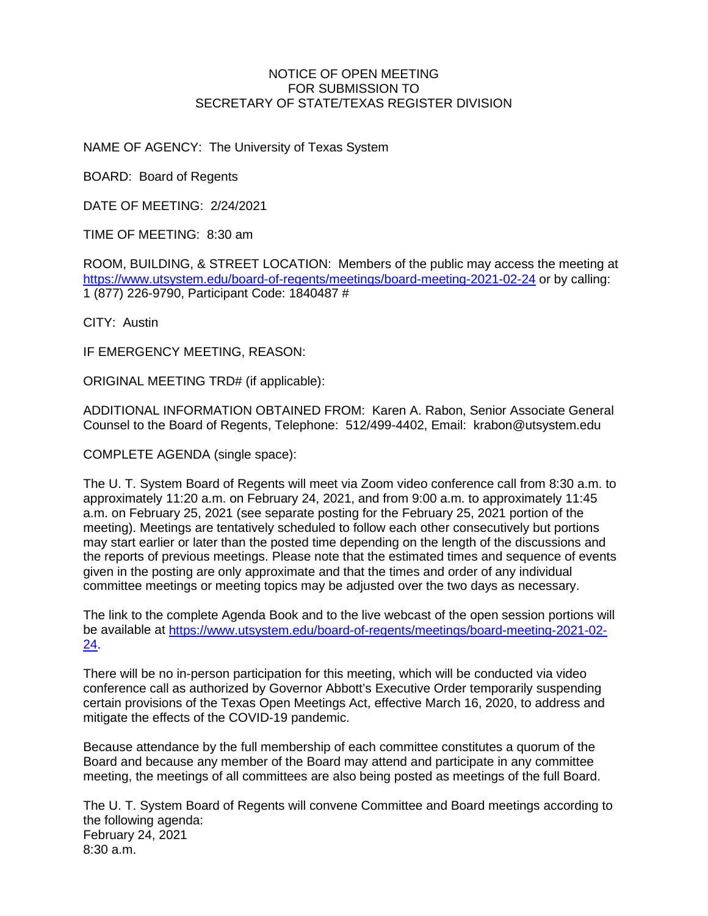#### NOTICE OF OPEN MEETING FOR SUBMISSION TO SECRETARY OF STATE/TEXAS REGISTER DIVISION

NAME OF AGENCY: The University of Texas System

BOARD: Board of Regents

DATE OF MEETING: 2/24/2021

TIME OF MEETING: 8:30 am

ROOM, BUILDING, & STREET LOCATION: Members of the public may access the meeting at <https://www.utsystem.edu/board-of-regents/meetings/board-meeting-2021-02-24> or by calling: 1 (877) 226-9790, Participant Code: 1840487 #

CITY: Austin

IF EMERGENCY MEETING, REASON:

ORIGINAL MEETING TRD# (if applicable):

ADDITIONAL INFORMATION OBTAINED FROM: Karen A. Rabon, Senior Associate General Counsel to the Board of Regents, Telephone: 512/499-4402, Email: krabon@utsystem.edu

COMPLETE AGENDA (single space):

The U. T. System Board of Regents will meet via Zoom video conference call from 8:30 a.m. to approximately 11:20 a.m. on February 24, 2021, and from 9:00 a.m. to approximately 11:45 a.m. on February 25, 2021 (see separate posting for the February 25, 2021 portion of the meeting). Meetings are tentatively scheduled to follow each other consecutively but portions may start earlier or later than the posted time depending on the length of the discussions and the reports of previous meetings. Please note that the estimated times and sequence of events given in the posting are only approximate and that the times and order of any individual committee meetings or meeting topics may be adjusted over the two days as necessary.

The link to the complete Agenda Book and to the live webcast of the open session portions will be available at [https://www.utsystem.edu/board-of-regents/meetings/board-meeting-2021-02-](https://www.utsystem.edu/board-of-regents/meetings/board-meeting-2021-02-24) [24.](https://www.utsystem.edu/board-of-regents/meetings/board-meeting-2021-02-24)

There will be no in-person participation for this meeting, which will be conducted via video conference call as authorized by Governor Abbott's Executive Order temporarily suspending certain provisions of the Texas Open Meetings Act, effective March 16, 2020, to address and mitigate the effects of the COVID-19 pandemic.

Because attendance by the full membership of each committee constitutes a quorum of the Board and because any member of the Board may attend and participate in any committee meeting, the meetings of all committees are also being posted as meetings of the full Board.

The U. T. System Board of Regents will convene Committee and Board meetings according to the following agenda: February 24, 2021 8:30 a.m.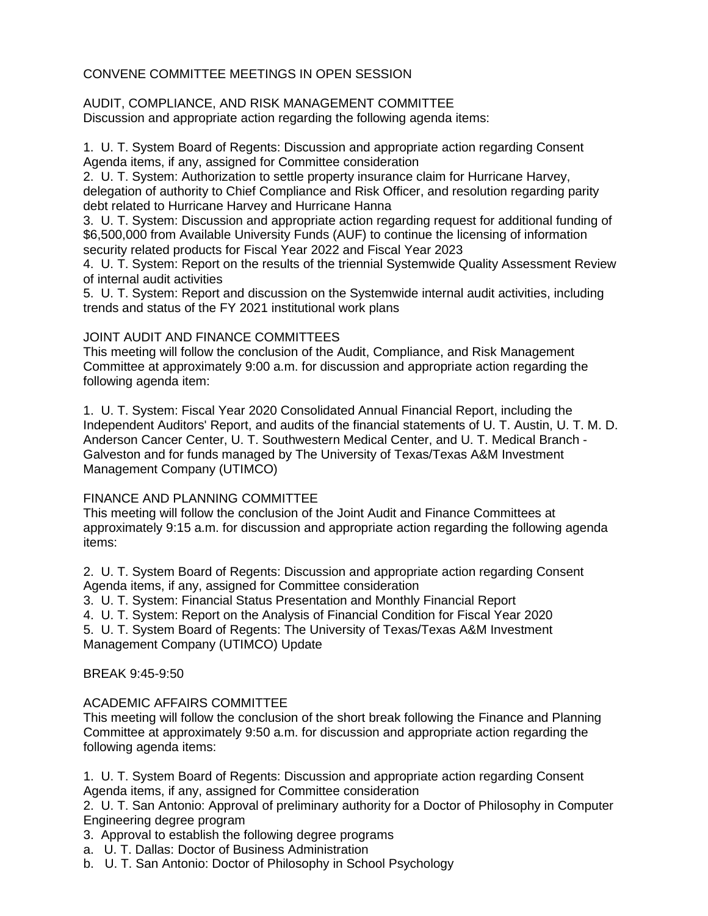# CONVENE COMMITTEE MEETINGS IN OPEN SESSION

AUDIT, COMPLIANCE, AND RISK MANAGEMENT COMMITTEE Discussion and appropriate action regarding the following agenda items:

1. U. T. System Board of Regents: Discussion and appropriate action regarding Consent Agenda items, if any, assigned for Committee consideration

2. U. T. System: Authorization to settle property insurance claim for Hurricane Harvey, delegation of authority to Chief Compliance and Risk Officer, and resolution regarding parity debt related to Hurricane Harvey and Hurricane Hanna

3. U. T. System: Discussion and appropriate action regarding request for additional funding of \$6,500,000 from Available University Funds (AUF) to continue the licensing of information security related products for Fiscal Year 2022 and Fiscal Year 2023

4. U. T. System: Report on the results of the triennial Systemwide Quality Assessment Review of internal audit activities

5. U. T. System: Report and discussion on the Systemwide internal audit activities, including trends and status of the FY 2021 institutional work plans

## JOINT AUDIT AND FINANCE COMMITTEES

This meeting will follow the conclusion of the Audit, Compliance, and Risk Management Committee at approximately 9:00 a.m. for discussion and appropriate action regarding the following agenda item:

1. U. T. System: Fiscal Year 2020 Consolidated Annual Financial Report, including the Independent Auditors' Report, and audits of the financial statements of U. T. Austin, U. T. M. D. Anderson Cancer Center, U. T. Southwestern Medical Center, and U. T. Medical Branch - Galveston and for funds managed by The University of Texas/Texas A&M Investment Management Company (UTIMCO)

## FINANCE AND PLANNING COMMITTEE

This meeting will follow the conclusion of the Joint Audit and Finance Committees at approximately 9:15 a.m. for discussion and appropriate action regarding the following agenda items:

2. U. T. System Board of Regents: Discussion and appropriate action regarding Consent Agenda items, if any, assigned for Committee consideration

3. U. T. System: Financial Status Presentation and Monthly Financial Report

4. U. T. System: Report on the Analysis of Financial Condition for Fiscal Year 2020

5. U. T. System Board of Regents: The University of Texas/Texas A&M Investment Management Company (UTIMCO) Update

BREAK 9:45-9:50

## ACADEMIC AFFAIRS COMMITTEE

This meeting will follow the conclusion of the short break following the Finance and Planning Committee at approximately 9:50 a.m. for discussion and appropriate action regarding the following agenda items:

1. U. T. System Board of Regents: Discussion and appropriate action regarding Consent Agenda items, if any, assigned for Committee consideration

2. U. T. San Antonio: Approval of preliminary authority for a Doctor of Philosophy in Computer Engineering degree program

- 3. Approval to establish the following degree programs
- a. U. T. Dallas: Doctor of Business Administration
- b. U. T. San Antonio: Doctor of Philosophy in School Psychology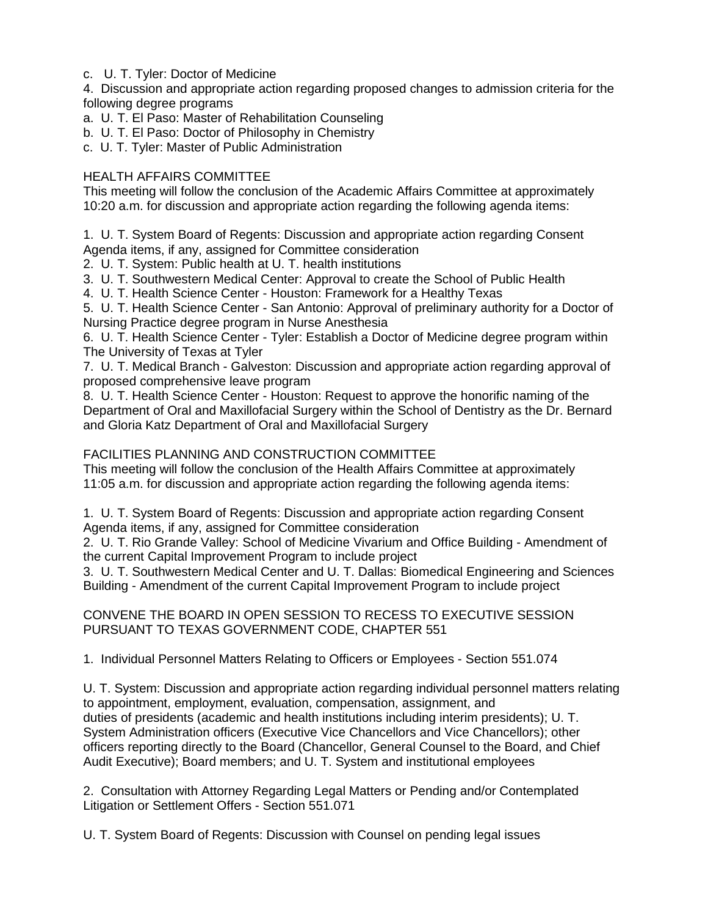c. U. T. Tyler: Doctor of Medicine

4. Discussion and appropriate action regarding proposed changes to admission criteria for the following degree programs

- a. U. T. El Paso: Master of Rehabilitation Counseling
- b. U. T. El Paso: Doctor of Philosophy in Chemistry
- c. U. T. Tyler: Master of Public Administration

## HEALTH AFFAIRS COMMITTEE

This meeting will follow the conclusion of the Academic Affairs Committee at approximately 10:20 a.m. for discussion and appropriate action regarding the following agenda items:

1. U. T. System Board of Regents: Discussion and appropriate action regarding Consent Agenda items, if any, assigned for Committee consideration

2. U. T. System: Public health at U. T. health institutions

3. U. T. Southwestern Medical Center: Approval to create the School of Public Health

4. U. T. Health Science Center - Houston: Framework for a Healthy Texas

5. U. T. Health Science Center - San Antonio: Approval of preliminary authority for a Doctor of Nursing Practice degree program in Nurse Anesthesia

6. U. T. Health Science Center - Tyler: Establish a Doctor of Medicine degree program within The University of Texas at Tyler

7. U. T. Medical Branch - Galveston: Discussion and appropriate action regarding approval of proposed comprehensive leave program

8. U. T. Health Science Center - Houston: Request to approve the honorific naming of the Department of Oral and Maxillofacial Surgery within the School of Dentistry as the Dr. Bernard and Gloria Katz Department of Oral and Maxillofacial Surgery

# FACILITIES PLANNING AND CONSTRUCTION COMMITTEE

This meeting will follow the conclusion of the Health Affairs Committee at approximately 11:05 a.m. for discussion and appropriate action regarding the following agenda items:

1. U. T. System Board of Regents: Discussion and appropriate action regarding Consent Agenda items, if any, assigned for Committee consideration

2. U. T. Rio Grande Valley: School of Medicine Vivarium and Office Building - Amendment of the current Capital Improvement Program to include project

3. U. T. Southwestern Medical Center and U. T. Dallas: Biomedical Engineering and Sciences Building - Amendment of the current Capital Improvement Program to include project

CONVENE THE BOARD IN OPEN SESSION TO RECESS TO EXECUTIVE SESSION PURSUANT TO TEXAS GOVERNMENT CODE, CHAPTER 551

1. Individual Personnel Matters Relating to Officers or Employees - Section 551.074

U. T. System: Discussion and appropriate action regarding individual personnel matters relating to appointment, employment, evaluation, compensation, assignment, and duties of presidents (academic and health institutions including interim presidents); U. T. System Administration officers (Executive Vice Chancellors and Vice Chancellors); other officers reporting directly to the Board (Chancellor, General Counsel to the Board, and Chief Audit Executive); Board members; and U. T. System and institutional employees

2. Consultation with Attorney Regarding Legal Matters or Pending and/or Contemplated Litigation or Settlement Offers - Section 551.071

U. T. System Board of Regents: Discussion with Counsel on pending legal issues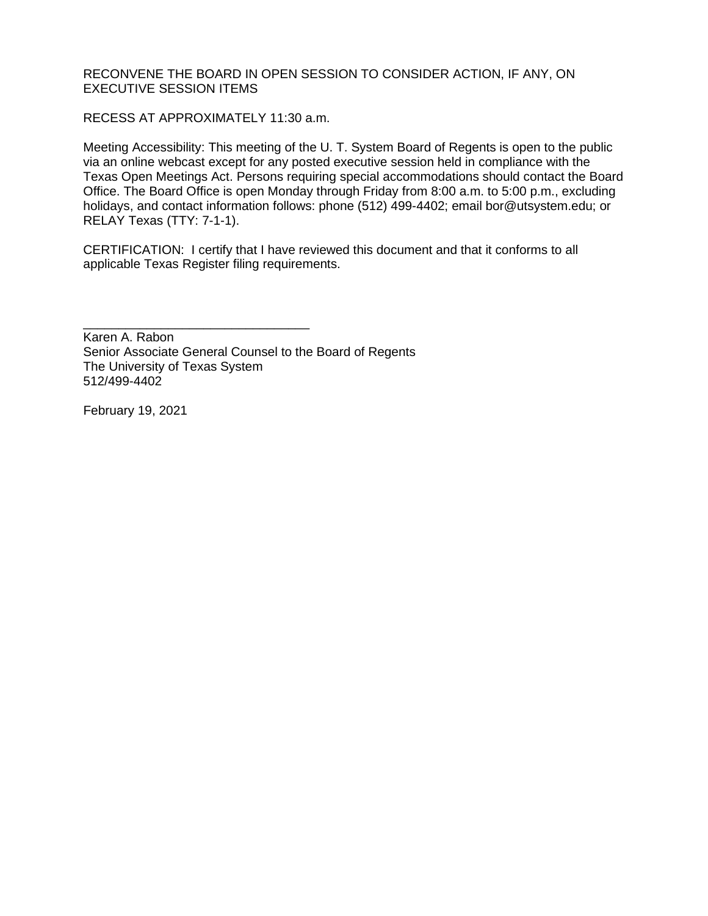RECONVENE THE BOARD IN OPEN SESSION TO CONSIDER ACTION, IF ANY, ON EXECUTIVE SESSION ITEMS

RECESS AT APPROXIMATELY 11:30 a.m.

Meeting Accessibility: This meeting of the U. T. System Board of Regents is open to the public via an online webcast except for any posted executive session held in compliance with the Texas Open Meetings Act. Persons requiring special accommodations should contact the Board Office. The Board Office is open Monday through Friday from 8:00 a.m. to 5:00 p.m., excluding holidays, and contact information follows: phone (512) 499-4402; email bor@utsystem.edu; or RELAY Texas (TTY: 7-1-1).

CERTIFICATION: I certify that I have reviewed this document and that it conforms to all applicable Texas Register filing requirements.

\_\_\_\_\_\_\_\_\_\_\_\_\_\_\_\_\_\_\_\_\_\_\_\_\_\_\_\_\_\_\_\_ Karen A. Rabon Senior Associate General Counsel to the Board of Regents The University of Texas System 512/499-4402

February 19, 2021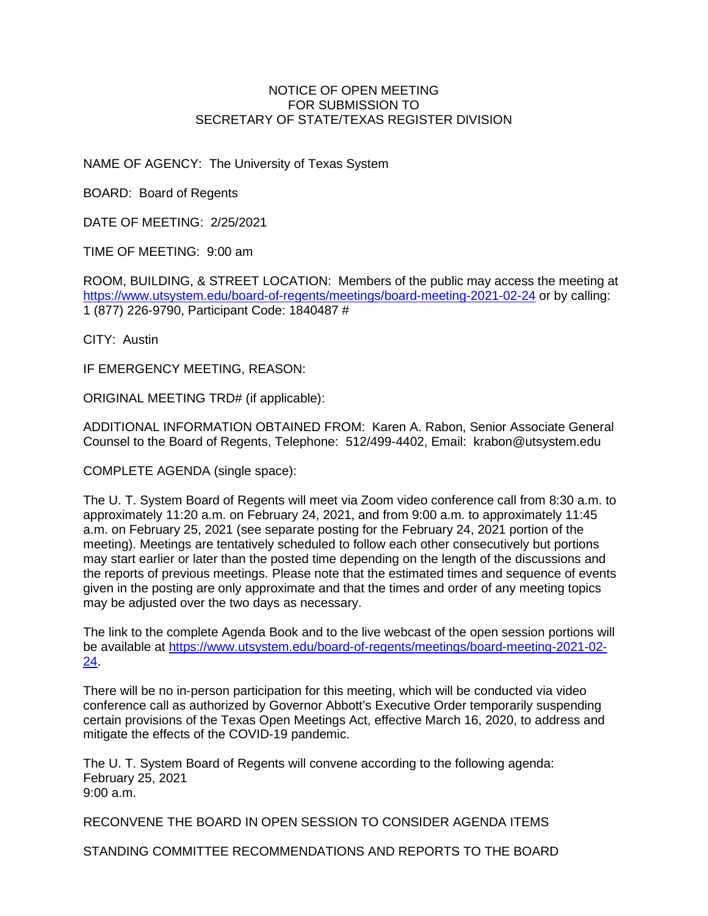#### NOTICE OF OPEN MEETING FOR SUBMISSION TO SECRETARY OF STATE/TEXAS REGISTER DIVISION

NAME OF AGENCY: The University of Texas System

BOARD: Board of Regents

DATE OF MEETING: 2/25/2021

TIME OF MEETING: 9:00 am

ROOM, BUILDING, & STREET LOCATION: Members of the public may access the meeting at <https://www.utsystem.edu/board-of-regents/meetings/board-meeting-2021-02-24> or by calling: 1 (877) 226-9790, Participant Code: 1840487 #

CITY: Austin

IF EMERGENCY MEETING, REASON:

ORIGINAL MEETING TRD# (if applicable):

ADDITIONAL INFORMATION OBTAINED FROM: Karen A. Rabon, Senior Associate General Counsel to the Board of Regents, Telephone: 512/499-4402, Email: krabon@utsystem.edu

COMPLETE AGENDA (single space):

The U. T. System Board of Regents will meet via Zoom video conference call from 8:30 a.m. to approximately 11:20 a.m. on February 24, 2021, and from 9:00 a.m. to approximately 11:45 a.m. on February 25, 2021 (see separate posting for the February 24, 2021 portion of the meeting). Meetings are tentatively scheduled to follow each other consecutively but portions may start earlier or later than the posted time depending on the length of the discussions and the reports of previous meetings. Please note that the estimated times and sequence of events given in the posting are only approximate and that the times and order of any meeting topics may be adjusted over the two days as necessary.

The link to the complete Agenda Book and to the live webcast of the open session portions will be available at [https://www.utsystem.edu/board-of-regents/meetings/board-meeting-2021-02-](https://www.utsystem.edu/board-of-regents/meetings/board-meeting-2021-02-24) [24.](https://www.utsystem.edu/board-of-regents/meetings/board-meeting-2021-02-24)

There will be no in-person participation for this meeting, which will be conducted via video conference call as authorized by Governor Abbott's Executive Order temporarily suspending certain provisions of the Texas Open Meetings Act, effective March 16, 2020, to address and mitigate the effects of the COVID-19 pandemic.

The U. T. System Board of Regents will convene according to the following agenda: February 25, 2021 9:00 a.m.

RECONVENE THE BOARD IN OPEN SESSION TO CONSIDER AGENDA ITEMS

STANDING COMMITTEE RECOMMENDATIONS AND REPORTS TO THE BOARD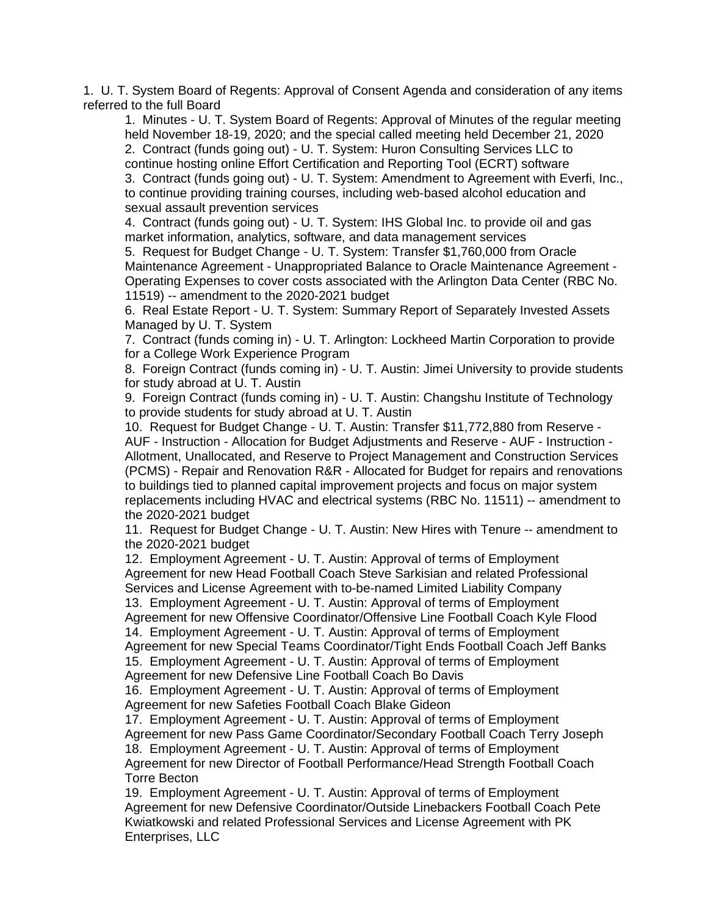1. U. T. System Board of Regents: Approval of Consent Agenda and consideration of any items referred to the full Board

1. Minutes - U. T. System Board of Regents: Approval of Minutes of the regular meeting held November 18-19, 2020; and the special called meeting held December 21, 2020 2. Contract (funds going out) - U. T. System: Huron Consulting Services LLC to continue hosting online Effort Certification and Reporting Tool (ECRT) software 3. Contract (funds going out) - U. T. System: Amendment to Agreement with Everfi, Inc., to continue providing training courses, including web-based alcohol education and sexual assault prevention services

4. Contract (funds going out) - U. T. System: IHS Global Inc. to provide oil and gas market information, analytics, software, and data management services

5. Request for Budget Change - U. T. System: Transfer \$1,760,000 from Oracle Maintenance Agreement - Unappropriated Balance to Oracle Maintenance Agreement - Operating Expenses to cover costs associated with the Arlington Data Center (RBC No. 11519) -- amendment to the 2020-2021 budget

6. Real Estate Report - U. T. System: Summary Report of Separately Invested Assets Managed by U. T. System

7. Contract (funds coming in) - U. T. Arlington: Lockheed Martin Corporation to provide for a College Work Experience Program

8. Foreign Contract (funds coming in) - U. T. Austin: Jimei University to provide students for study abroad at U. T. Austin

9. Foreign Contract (funds coming in) - U. T. Austin: Changshu Institute of Technology to provide students for study abroad at U. T. Austin

10. Request for Budget Change - U. T. Austin: Transfer \$11,772,880 from Reserve - AUF - Instruction - Allocation for Budget Adjustments and Reserve - AUF - Instruction - Allotment, Unallocated, and Reserve to Project Management and Construction Services (PCMS) - Repair and Renovation R&R - Allocated for Budget for repairs and renovations to buildings tied to planned capital improvement projects and focus on major system replacements including HVAC and electrical systems (RBC No. 11511) -- amendment to the 2020-2021 budget

11. Request for Budget Change - U. T. Austin: New Hires with Tenure -- amendment to the 2020-2021 budget

12. Employment Agreement - U. T. Austin: Approval of terms of Employment Agreement for new Head Football Coach Steve Sarkisian and related Professional Services and License Agreement with to-be-named Limited Liability Company

13. Employment Agreement - U. T. Austin: Approval of terms of Employment Agreement for new Offensive Coordinator/Offensive Line Football Coach Kyle Flood 14. Employment Agreement - U. T. Austin: Approval of terms of Employment Agreement for new Special Teams Coordinator/Tight Ends Football Coach Jeff Banks 15. Employment Agreement - U. T. Austin: Approval of terms of Employment

Agreement for new Defensive Line Football Coach Bo Davis

16. Employment Agreement - U. T. Austin: Approval of terms of Employment Agreement for new Safeties Football Coach Blake Gideon

17. Employment Agreement - U. T. Austin: Approval of terms of Employment Agreement for new Pass Game Coordinator/Secondary Football Coach Terry Joseph 18. Employment Agreement - U. T. Austin: Approval of terms of Employment Agreement for new Director of Football Performance/Head Strength Football Coach Torre Becton

19. Employment Agreement - U. T. Austin: Approval of terms of Employment Agreement for new Defensive Coordinator/Outside Linebackers Football Coach Pete Kwiatkowski and related Professional Services and License Agreement with PK Enterprises, LLC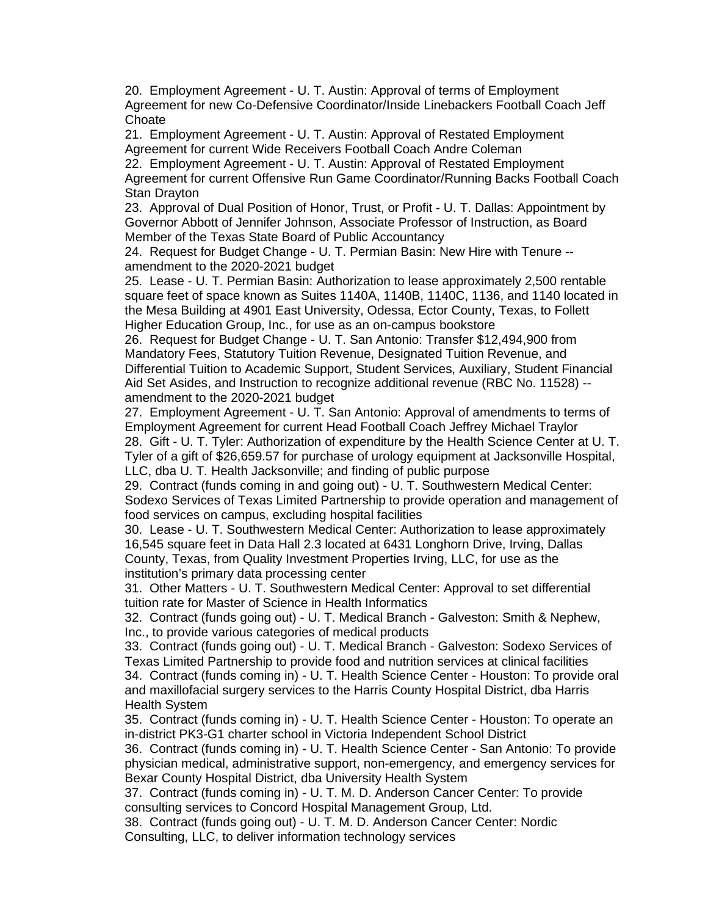20. Employment Agreement - U. T. Austin: Approval of terms of Employment Agreement for new Co-Defensive Coordinator/Inside Linebackers Football Coach Jeff **Choate** 

21. Employment Agreement - U. T. Austin: Approval of Restated Employment Agreement for current Wide Receivers Football Coach Andre Coleman

22. Employment Agreement - U. T. Austin: Approval of Restated Employment Agreement for current Offensive Run Game Coordinator/Running Backs Football Coach Stan Drayton

23. Approval of Dual Position of Honor, Trust, or Profit - U. T. Dallas: Appointment by Governor Abbott of Jennifer Johnson, Associate Professor of Instruction, as Board Member of the Texas State Board of Public Accountancy

24. Request for Budget Change - U. T. Permian Basin: New Hire with Tenure - amendment to the 2020-2021 budget

25. Lease - U. T. Permian Basin: Authorization to lease approximately 2,500 rentable square feet of space known as Suites 1140A, 1140B, 1140C, 1136, and 1140 located in the Mesa Building at 4901 East University, Odessa, Ector County, Texas, to Follett Higher Education Group, Inc., for use as an on-campus bookstore

26. Request for Budget Change - U. T. San Antonio: Transfer \$12,494,900 from Mandatory Fees, Statutory Tuition Revenue, Designated Tuition Revenue, and Differential Tuition to Academic Support, Student Services, Auxiliary, Student Financial Aid Set Asides, and Instruction to recognize additional revenue (RBC No. 11528) - amendment to the 2020-2021 budget

27. Employment Agreement - U. T. San Antonio: Approval of amendments to terms of Employment Agreement for current Head Football Coach Jeffrey Michael Traylor 28. Gift - U. T. Tyler: Authorization of expenditure by the Health Science Center at U. T. Tyler of a gift of \$26,659.57 for purchase of urology equipment at Jacksonville Hospital, LLC, dba U. T. Health Jacksonville; and finding of public purpose

29. Contract (funds coming in and going out) - U. T. Southwestern Medical Center: Sodexo Services of Texas Limited Partnership to provide operation and management of food services on campus, excluding hospital facilities

30. Lease - U. T. Southwestern Medical Center: Authorization to lease approximately 16,545 square feet in Data Hall 2.3 located at 6431 Longhorn Drive, Irving, Dallas County, Texas, from Quality Investment Properties Irving, LLC, for use as the institution's primary data processing center

31. Other Matters - U. T. Southwestern Medical Center: Approval to set differential tuition rate for Master of Science in Health Informatics

32. Contract (funds going out) - U. T. Medical Branch - Galveston: Smith & Nephew, Inc., to provide various categories of medical products

33. Contract (funds going out) - U. T. Medical Branch - Galveston: Sodexo Services of Texas Limited Partnership to provide food and nutrition services at clinical facilities 34. Contract (funds coming in) - U. T. Health Science Center - Houston: To provide oral and maxillofacial surgery services to the Harris County Hospital District, dba Harris Health System

35. Contract (funds coming in) - U. T. Health Science Center - Houston: To operate an in-district PK3-G1 charter school in Victoria Independent School District

36. Contract (funds coming in) - U. T. Health Science Center - San Antonio: To provide physician medical, administrative support, non-emergency, and emergency services for Bexar County Hospital District, dba University Health System

37. Contract (funds coming in) - U. T. M. D. Anderson Cancer Center: To provide consulting services to Concord Hospital Management Group, Ltd.

38. Contract (funds going out) - U. T. M. D. Anderson Cancer Center: Nordic Consulting, LLC, to deliver information technology services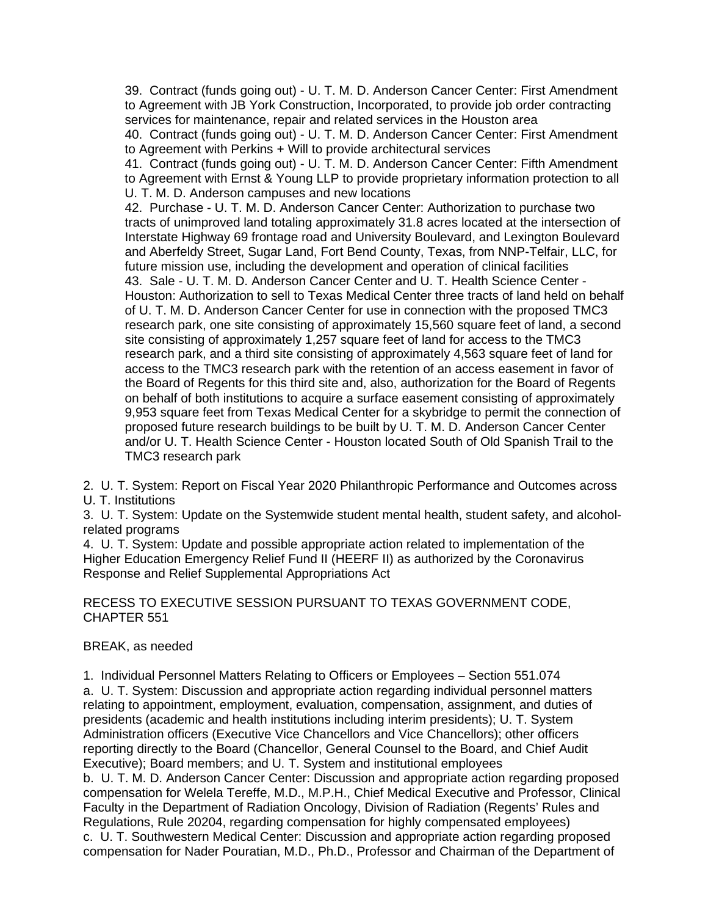39. Contract (funds going out) - U. T. M. D. Anderson Cancer Center: First Amendment to Agreement with JB York Construction, Incorporated, to provide job order contracting services for maintenance, repair and related services in the Houston area

40. Contract (funds going out) - U. T. M. D. Anderson Cancer Center: First Amendment to Agreement with Perkins + Will to provide architectural services

41. Contract (funds going out) - U. T. M. D. Anderson Cancer Center: Fifth Amendment to Agreement with Ernst & Young LLP to provide proprietary information protection to all U. T. M. D. Anderson campuses and new locations

42. Purchase - U. T. M. D. Anderson Cancer Center: Authorization to purchase two tracts of unimproved land totaling approximately 31.8 acres located at the intersection of Interstate Highway 69 frontage road and University Boulevard, and Lexington Boulevard and Aberfeldy Street, Sugar Land, Fort Bend County, Texas, from NNP-Telfair, LLC, for future mission use, including the development and operation of clinical facilities 43. Sale - U. T. M. D. Anderson Cancer Center and U. T. Health Science Center - Houston: Authorization to sell to Texas Medical Center three tracts of land held on behalf of U. T. M. D. Anderson Cancer Center for use in connection with the proposed TMC3 research park, one site consisting of approximately 15,560 square feet of land, a second site consisting of approximately 1,257 square feet of land for access to the TMC3 research park, and a third site consisting of approximately 4,563 square feet of land for access to the TMC3 research park with the retention of an access easement in favor of the Board of Regents for this third site and, also, authorization for the Board of Regents on behalf of both institutions to acquire a surface easement consisting of approximately 9,953 square feet from Texas Medical Center for a skybridge to permit the connection of proposed future research buildings to be built by U. T. M. D. Anderson Cancer Center and/or U. T. Health Science Center - Houston located South of Old Spanish Trail to the TMC3 research park

2. U. T. System: Report on Fiscal Year 2020 Philanthropic Performance and Outcomes across U. T. Institutions

3. U. T. System: Update on the Systemwide student mental health, student safety, and alcoholrelated programs

4. U. T. System: Update and possible appropriate action related to implementation of the Higher Education Emergency Relief Fund II (HEERF II) as authorized by the Coronavirus Response and Relief Supplemental Appropriations Act

RECESS TO EXECUTIVE SESSION PURSUANT TO TEXAS GOVERNMENT CODE, CHAPTER 551

## BREAK, as needed

1. Individual Personnel Matters Relating to Officers or Employees – Section 551.074 a. U. T. System: Discussion and appropriate action regarding individual personnel matters relating to appointment, employment, evaluation, compensation, assignment, and duties of presidents (academic and health institutions including interim presidents); U. T. System Administration officers (Executive Vice Chancellors and Vice Chancellors); other officers reporting directly to the Board (Chancellor, General Counsel to the Board, and Chief Audit Executive); Board members; and U. T. System and institutional employees b. U. T. M. D. Anderson Cancer Center: Discussion and appropriate action regarding proposed compensation for Welela Tereffe, M.D., M.P.H., Chief Medical Executive and Professor, Clinical Faculty in the Department of Radiation Oncology, Division of Radiation (Regents' Rules and Regulations, Rule 20204, regarding compensation for highly compensated employees) c. U. T. Southwestern Medical Center: Discussion and appropriate action regarding proposed compensation for Nader Pouratian, M.D., Ph.D., Professor and Chairman of the Department of